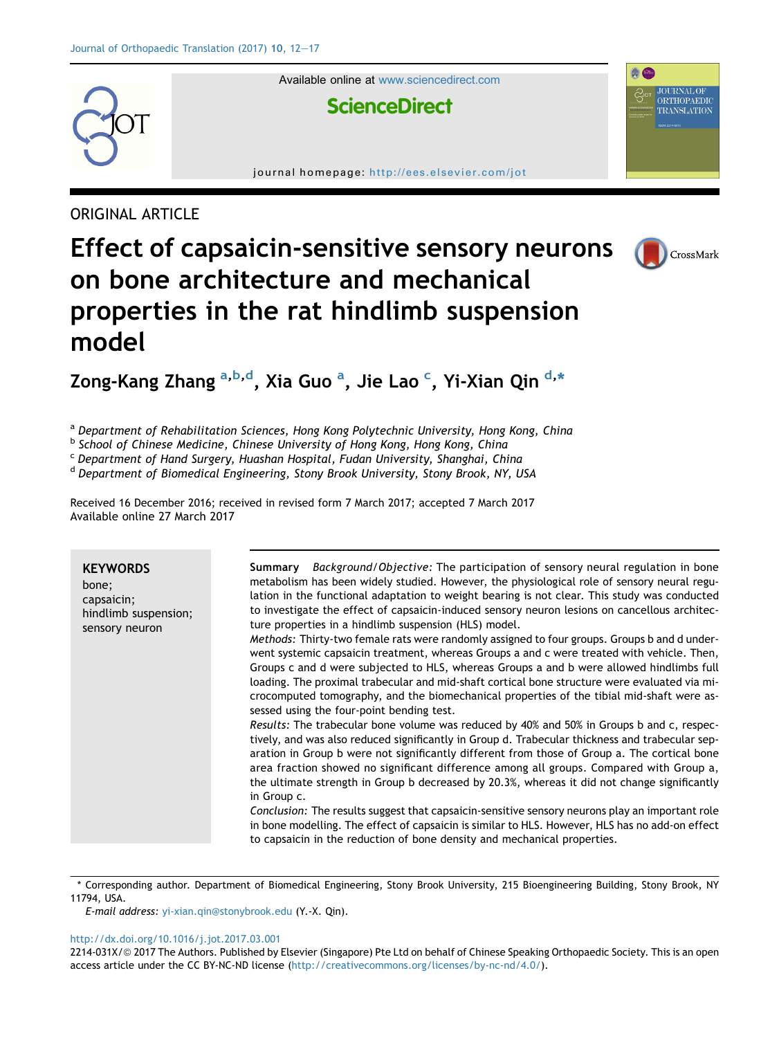

Available online at [www.sciencedirect.com](www.sciencedirect.com/science/journal/2214031X)

# **ScienceDirect**

journal homepage: <http://ees.elsevier.com/jot>

# ORIGINAL ARTICLE

# Effect of capsaicin-sensitive sensory neurons on bone architecture and mechanical properties in the rat hindlimb suspension model



**JOURNAL OF** ORTHOPAEDIC TRANSLATION

a e

Zong-Kang Zhang <sup>a,b,d</sup>, Xia Guo <sup>a</sup>, Jie Lao <sup>c</sup>, Yi-Xian Qin <sup>d,</sup>\*

a Department of Rehabilitation Sciences, Hong Kong Polytechnic University, Hong Kong, China

b School of Chinese Medicine, Chinese University of Hong Kong, Hong Kong, China

<sup>c</sup> Department of Hand Surgery, Huashan Hospital, Fudan University, Shanghai, China

<sup>d</sup> Department of Biomedical Engineering, Stony Brook University, Stony Brook, NY, USA

Received 16 December 2016; received in revised form 7 March 2017; accepted 7 March 2017 Available online 27 March 2017

| <i>Background/Objective:</i> The participation of sensory neural regulation in bone<br>Summarv<br><b>KEYWORDS</b><br>metabolism has been widely studied. However, the physiological role of sensory neural regu-<br>bone;<br>lation in the functional adaptation to weight bearing is not clear. This study was conducted<br>capsaicin;<br>to investigate the effect of capsaicin-induced sensory neuron lesions on cancellous architec-<br>hindlimb suspension;<br>ture properties in a hindlimb suspension (HLS) model.<br>sensory neuron<br>Methods: Thirty-two female rats were randomly assigned to four groups. Groups b and d under-<br>went systemic capsaicin treatment, whereas Groups a and c were treated with vehicle. Then,<br>Groups c and d were subjected to HLS, whereas Groups a and b were allowed hindlimbs full<br>loading. The proximal trabecular and mid-shaft cortical bone structure were evaluated via mi-<br>crocomputed tomography, and the biomechanical properties of the tibial mid-shaft were as-<br>sessed using the four-point bending test.<br>Results: The trabecular bone volume was reduced by 40% and 50% in Groups b and c, respec-<br>tively, and was also reduced significantly in Group d. Trabecular thickness and trabecular sep-<br>aration in Group b were not significantly different from those of Group a. The cortical bone<br>area fraction showed no significant difference among all groups. Compared with Group a,<br>the ultimate strength in Group b decreased by 20.3%, whereas it did not change significantly<br>in Group c.<br>Conclusion: The results suggest that capsaicin-sensitive sensory neurons play an important role<br>in bone modelling. The effect of capsaicin is similar to HLS. However, HLS has no add-on effect<br>to capsaicin in the reduction of bone density and mechanical properties. |  |
|------------------------------------------------------------------------------------------------------------------------------------------------------------------------------------------------------------------------------------------------------------------------------------------------------------------------------------------------------------------------------------------------------------------------------------------------------------------------------------------------------------------------------------------------------------------------------------------------------------------------------------------------------------------------------------------------------------------------------------------------------------------------------------------------------------------------------------------------------------------------------------------------------------------------------------------------------------------------------------------------------------------------------------------------------------------------------------------------------------------------------------------------------------------------------------------------------------------------------------------------------------------------------------------------------------------------------------------------------------------------------------------------------------------------------------------------------------------------------------------------------------------------------------------------------------------------------------------------------------------------------------------------------------------------------------------------------------------------------------------------------------------------------------------------------------------------------------------------------------------------------|--|
|                                                                                                                                                                                                                                                                                                                                                                                                                                                                                                                                                                                                                                                                                                                                                                                                                                                                                                                                                                                                                                                                                                                                                                                                                                                                                                                                                                                                                                                                                                                                                                                                                                                                                                                                                                                                                                                                              |  |

\* Corresponding author. Department of Biomedical Engineering, Stony Brook University, 215 Bioengineering Building, Stony Brook, NY 11794, USA.

E-mail address: [yi-xian.qin@stonybrook.edu](mailto:yi-xian.qin@stonybrook.edu) (Y.-X. Qin).

#### <http://dx.doi.org/10.1016/j.jot.2017.03.001>

2214-031X/© 2017 The Authors. Published by Elsevier (Singapore) Pte Ltd on behalf of Chinese Speaking Orthopaedic Society. This is an open access article under the CC BY-NC-ND license [\(http://creativecommons.org/licenses/by-nc-nd/4.0/\)](http://creativecommons.org/licenses/by-nc-nd/4.0/).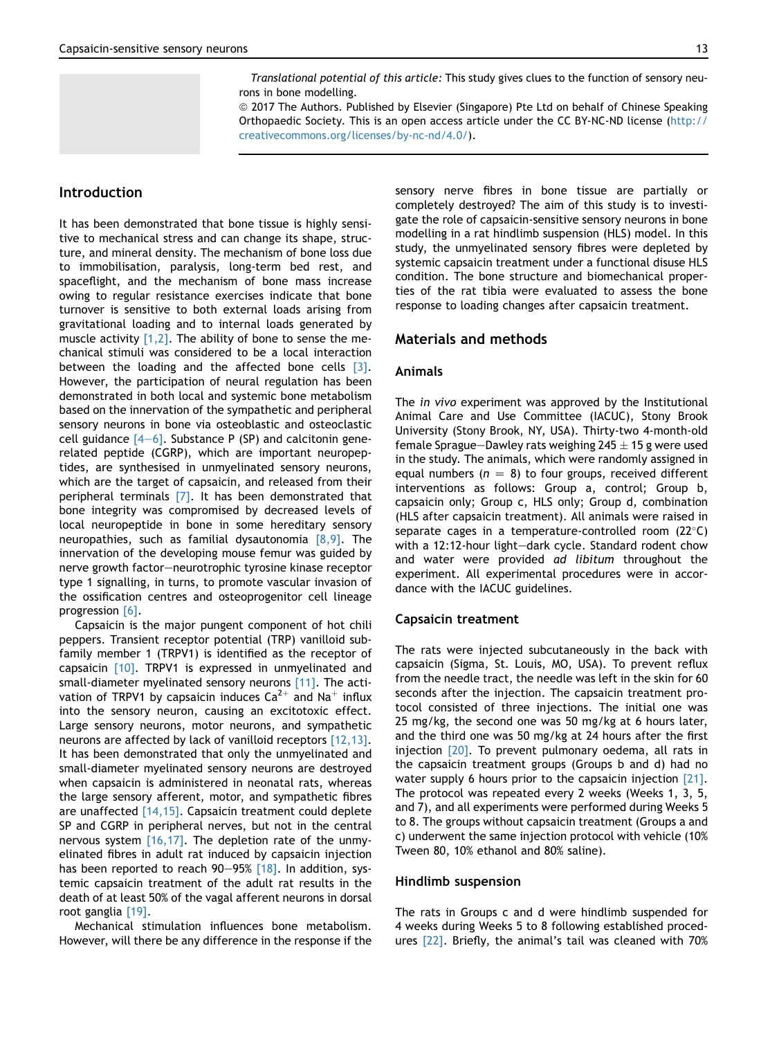Translational potential of this article: This study gives clues to the function of sensory neurons in bone modelling.

ª 2017 The Authors. Published by Elsevier (Singapore) Pte Ltd on behalf of Chinese Speaking Orthopaedic Society. This is an open access article under the CC BY-NC-ND license ([http://](http://creativecommons.org/licenses/by-nc-nd/4.0/) [creativecommons.org/licenses/by-nc-nd/4.0/\)](http://creativecommons.org/licenses/by-nc-nd/4.0/).

# Introduction

It has been demonstrated that bone tissue is highly sensitive to mechanical stress and can change its shape, structure, and mineral density. The mechanism of bone loss due to immobilisation, paralysis, long-term bed rest, and spaceflight, and the mechanism of bone mass increase owing to regular resistance exercises indicate that bone turnover is sensitive to both external loads arising from gravitational loading and to internal loads generated by muscle activity  $[1,2]$ . The ability of bone to sense the mechanical stimuli was considered to be a local interaction between the loading and the affected bone cells [\[3\]](#page-4-0). However, the participation of neural regulation has been demonstrated in both local and systemic bone metabolism based on the innervation of the sympathetic and peripheral sensory neurons in bone via osteoblastic and osteoclastic cell guidance  $[4-6]$  $[4-6]$ . Substance P (SP) and calcitonin generelated peptide (CGRP), which are important neuropeptides, are synthesised in unmyelinated sensory neurons, which are the target of capsaicin, and released from their peripheral terminals [\[7\].](#page-4-0) It has been demonstrated that bone integrity was compromised by decreased levels of local neuropeptide in bone in some hereditary sensory neuropathies, such as familial dysautonomia  $[8,9]$ . The innervation of the developing mouse femur was guided by nerve growth factor-neurotrophic tyrosine kinase receptor type 1 signalling, in turns, to promote vascular invasion of the ossification centres and osteoprogenitor cell lineage progression [\[6\]](#page-4-0).

Capsaicin is the major pungent component of hot chili peppers. Transient receptor potential (TRP) vanilloid subfamily member 1 (TRPV1) is identified as the receptor of capsaicin [\[10\]](#page-4-0). TRPV1 is expressed in unmyelinated and small-diameter myelinated sensory neurons [\[11\]](#page-4-0). The activation of TRPV1 by capsaicin induces  $Ca^{2+}$  and Na<sup>+</sup> influx into the sensory neuron, causing an excitotoxic effect. Large sensory neurons, motor neurons, and sympathetic neurons are affected by lack of vanilloid receptors [\[12,13\]](#page-4-0). It has been demonstrated that only the unmyelinated and small-diameter myelinated sensory neurons are destroyed when capsaicin is administered in neonatal rats, whereas the large sensory afferent, motor, and sympathetic fibres are unaffected [\[14,15\]](#page-5-0). Capsaicin treatment could deplete SP and CGRP in peripheral nerves, but not in the central nervous system  $[16,17]$ . The depletion rate of the unmyelinated fibres in adult rat induced by capsaicin injection has been reported to reach  $90-95%$  [\[18\].](#page-5-0) In addition, systemic capsaicin treatment of the adult rat results in the death of at least 50% of the vagal afferent neurons in dorsal root ganglia [\[19\]](#page-5-0).

Mechanical stimulation influences bone metabolism. However, will there be any difference in the response if the sensory nerve fibres in bone tissue are partially or completely destroyed? The aim of this study is to investigate the role of capsaicin-sensitive sensory neurons in bone modelling in a rat hindlimb suspension (HLS) model. In this study, the unmyelinated sensory fibres were depleted by systemic capsaicin treatment under a functional disuse HLS condition. The bone structure and biomechanical properties of the rat tibia were evaluated to assess the bone response to loading changes after capsaicin treatment.

# Materials and methods

# Animals

The *in vivo* experiment was approved by the Institutional Animal Care and Use Committee (IACUC), Stony Brook University (Stony Brook, NY, USA). Thirty-two 4-month-old female Sprague–Dawley rats weighing 245  $\pm$  15 g were used in the study. The animals, which were randomly assigned in equal numbers ( $n = 8$ ) to four groups, received different interventions as follows: Group a, control; Group b, capsaicin only; Group c, HLS only; Group d, combination (HLS after capsaicin treatment). All animals were raised in separate cages in a temperature-controlled room  $(22^{\circ}C)$ with a 12:12-hour light-dark cycle. Standard rodent chow and water were provided ad libitum throughout the experiment. All experimental procedures were in accordance with the IACUC guidelines.

#### Capsaicin treatment

The rats were injected subcutaneously in the back with capsaicin (Sigma, St. Louis, MO, USA). To prevent reflux from the needle tract, the needle was left in the skin for 60 seconds after the injection. The capsaicin treatment protocol consisted of three injections. The initial one was 25 mg/kg, the second one was 50 mg/kg at 6 hours later, and the third one was 50 mg/kg at 24 hours after the first injection [\[20\]](#page-5-0). To prevent pulmonary oedema, all rats in the capsaicin treatment groups (Groups b and d) had no water supply 6 hours prior to the capsaicin injection [\[21\]](#page-5-0). The protocol was repeated every 2 weeks (Weeks 1, 3, 5, and 7), and all experiments were performed during Weeks 5 to 8. The groups without capsaicin treatment (Groups a and c) underwent the same injection protocol with vehicle (10% Tween 80, 10% ethanol and 80% saline).

#### Hindlimb suspension

The rats in Groups c and d were hindlimb suspended for 4 weeks during Weeks 5 to 8 following established procedures [\[22\]](#page-5-0). Briefly, the animal's tail was cleaned with 70%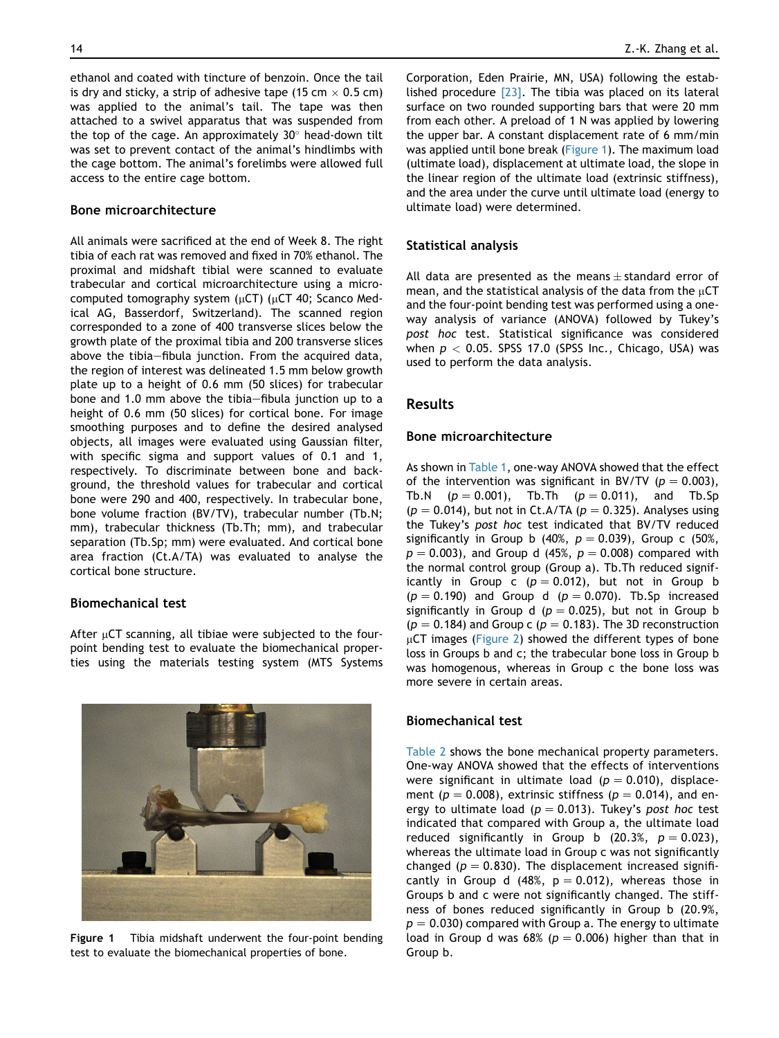ethanol and coated with tincture of benzoin. Once the tail is dry and sticky, a strip of adhesive tape (15 cm  $\times$  0.5 cm) was applied to the animal's tail. The tape was then attached to a swivel apparatus that was suspended from the top of the cage. An approximately  $30^\circ$  head-down tilt was set to prevent contact of the animal's hindlimbs with the cage bottom. The animal's forelimbs were allowed full access to the entire cage bottom.

#### Bone microarchitecture

All animals were sacrificed at the end of Week 8. The right tibia of each rat was removed and fixed in 70% ethanol. The proximal and midshaft tibial were scanned to evaluate trabecular and cortical microarchitecture using a microcomputed tomography system ( $\mu$ CT) ( $\mu$ CT 40; Scanco Medical AG, Basserdorf, Switzerland). The scanned region corresponded to a zone of 400 transverse slices below the growth plate of the proximal tibia and 200 transverse slices above the tibia-fibula junction. From the acquired data, the region of interest was delineated 1.5 mm below growth plate up to a height of 0.6 mm (50 slices) for trabecular bone and 1.0 mm above the tibia-fibula junction up to a height of 0.6 mm (50 slices) for cortical bone. For image smoothing purposes and to define the desired analysed objects, all images were evaluated using Gaussian filter, with specific sigma and support values of 0.1 and 1, respectively. To discriminate between bone and background, the threshold values for trabecular and cortical bone were 290 and 400, respectively. In trabecular bone, bone volume fraction (BV/TV), trabecular number (Tb.N; mm), trabecular thickness (Tb.Th; mm), and trabecular separation (Tb.Sp; mm) were evaluated. And cortical bone area fraction (Ct.A/TA) was evaluated to analyse the cortical bone structure.

# Biomechanical test

After  $\mu$ CT scanning, all tibiae were subjected to the fourpoint bending test to evaluate the biomechanical properties using the materials testing system (MTS Systems



Corporation, Eden Prairie, MN, USA) following the established procedure [\[23\]](#page-5-0). The tibia was placed on its lateral surface on two rounded supporting bars that were 20 mm from each other. A preload of 1 N was applied by lowering the upper bar. A constant displacement rate of 6 mm/min was applied until bone break (Figure 1). The maximum load (ultimate load), displacement at ultimate load, the slope in the linear region of the ultimate load (extrinsic stiffness), and the area under the curve until ultimate load (energy to ultimate load) were determined.

#### Statistical analysis

All data are presented as the means  $\pm$  standard error of mean, and the statistical analysis of the data from the  $\mu$ CT and the four-point bending test was performed using a oneway analysis of variance (ANOVA) followed by Tukey's post hoc test. Statistical significance was considered when  $p < 0.05$ . SPSS 17.0 (SPSS Inc., Chicago, USA) was used to perform the data analysis.

# Results

#### Bone microarchitecture

As shown in [Table 1,](#page-3-0) one-way ANOVA showed that the effect of the intervention was significant in BV/TV ( $p = 0.003$ ), Tb.N  $(p = 0.001)$ , Tb.Th  $(p = 0.011)$ , and Tb.Sp  $(p = 0.014)$ , but not in Ct.A/TA ( $p = 0.325$ ). Analyses using the Tukey's post hoc test indicated that BV/TV reduced significantly in Group b (40%,  $p = 0.039$ ), Group c (50%,  $p = 0.003$ , and Group d (45%,  $p = 0.008$ ) compared with the normal control group (Group a). Tb.Th reduced significantly in Group c ( $p = 0.012$ ), but not in Group b  $(p = 0.190)$  and Group d  $(p = 0.070)$ . Tb.Sp increased significantly in Group d ( $p = 0.025$ ), but not in Group b  $(p = 0.184)$  and Group c  $(p = 0.183)$ . The 3D reconstruction  $\mu$ CT images [\(Figure 2](#page-3-0)) showed the different types of bone loss in Groups b and c; the trabecular bone loss in Group b was homogenous, whereas in Group c the bone loss was more severe in certain areas.

# Biomechanical test

[Table 2](#page-3-0) shows the bone mechanical property parameters. One-way ANOVA showed that the effects of interventions were significant in ultimate load ( $p = 0.010$ ), displacement ( $p = 0.008$ ), extrinsic stiffness ( $p = 0.014$ ), and energy to ultimate load ( $p = 0.013$ ). Tukey's post hoc test indicated that compared with Group a, the ultimate load reduced significantly in Group b (20.3%,  $p = 0.023$ ), whereas the ultimate load in Group c was not significantly changed ( $p = 0.830$ ). The displacement increased significantly in Group d (48%,  $p = 0.012$ ), whereas those in Groups b and c were not significantly changed. The stiffness of bones reduced significantly in Group b (20.9%,  $p = 0.030$ ) compared with Group a. The energy to ultimate load in Group d was 68% ( $p = 0.006$ ) higher than that in Group b.

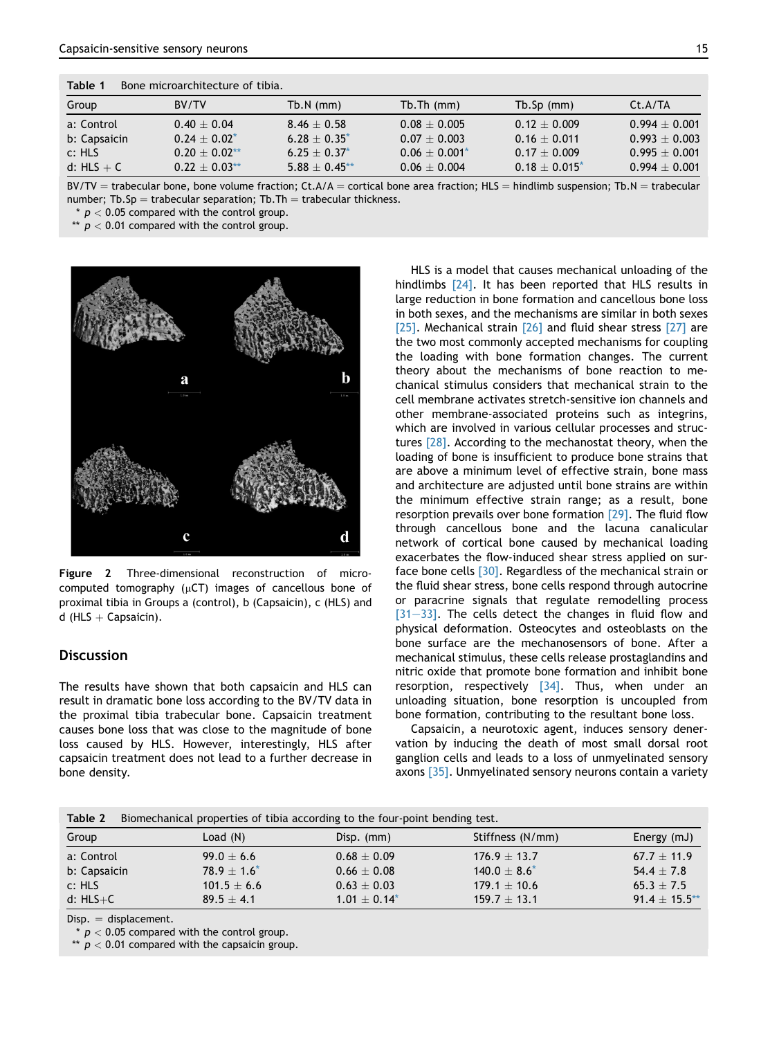<span id="page-3-0"></span>

| Table 1<br>Bone microarchitecture of tibia. |                 |                 |                  |                  |                 |  |  |  |
|---------------------------------------------|-----------------|-----------------|------------------|------------------|-----------------|--|--|--|
| Group                                       | BV/TV           | $Tb.N$ (mm)     | $Tb$ . Th $(mm)$ | $Tb.$ Sp $(mm)$  | Ct.A/TA         |  |  |  |
| a: Control                                  | $0.40 + 0.04$   | $8.46 + 0.58$   | $0.08 + 0.005$   | $0.12 + 0.009$   | $0.994 + 0.001$ |  |  |  |
| b: Capsaicin                                | $0.24 + 0.02^*$ | $6.28 + 0.35^*$ | $0.07 + 0.003$   | $0.16 + 0.011$   | $0.993 + 0.003$ |  |  |  |
| c: HLS                                      | $0.20 + 0.02**$ | $6.25 + 0.37^*$ | $0.06 + 0.001*$  | $0.17 + 0.009$   | $0.995 + 0.001$ |  |  |  |
| d: $HLS + C$                                | $0.22 + 0.03**$ | $5.88 + 0.45**$ | $0.06 + 0.004$   | $0.18 + 0.015^*$ | $0.994 + 0.001$ |  |  |  |

 $BV/TV =$  trabecular bone, bone volume fraction; Ct.A/A = cortical bone area fraction; HLS = hindlimb suspension; Tb.N = trabecular number; Tb.Sp = trabecular separation; Tb.Th = trabecular thickness.

 $*$   $p$  < 0.05 compared with the control group.

\*\*  $p < 0.01$  compared with the control group.



Figure 2 Three-dimensional reconstruction of microcomputed tomography ( $\mu$ CT) images of cancellous bone of proximal tibia in Groups a (control), b (Capsaicin), c (HLS) and d (HLS  $+$  Capsaicin).

# **Discussion**

The results have shown that both capsaicin and HLS can result in dramatic bone loss according to the BV/TV data in the proximal tibia trabecular bone. Capsaicin treatment causes bone loss that was close to the magnitude of bone loss caused by HLS. However, interestingly, HLS after capsaicin treatment does not lead to a further decrease in bone density.

HLS is a model that causes mechanical unloading of the hindlimbs [\[24\].](#page-5-0) It has been reported that HLS results in large reduction in bone formation and cancellous bone loss in both sexes, and the mechanisms are similar in both sexes [\[25\]](#page-5-0). Mechanical strain [\[26\]](#page-5-0) and fluid shear stress [\[27\]](#page-5-0) are the two most commonly accepted mechanisms for coupling the loading with bone formation changes. The current theory about the mechanisms of bone reaction to mechanical stimulus considers that mechanical strain to the cell membrane activates stretch-sensitive ion channels and other membrane-associated proteins such as integrins, which are involved in various cellular processes and struc-tures [\[28\].](#page-5-0) According to the mechanostat theory, when the loading of bone is insufficient to produce bone strains that are above a minimum level of effective strain, bone mass and architecture are adjusted until bone strains are within the minimum effective strain range; as a result, bone resorption prevails over bone formation [\[29\].](#page-5-0) The fluid flow through cancellous bone and the lacuna canalicular network of cortical bone caused by mechanical loading exacerbates the flow-induced shear stress applied on surface bone cells [\[30\].](#page-5-0) Regardless of the mechanical strain or the fluid shear stress, bone cells respond through autocrine or paracrine signals that regulate remodelling process  $[31-33]$  $[31-33]$  $[31-33]$ . The cells detect the changes in fluid flow and physical deformation. Osteocytes and osteoblasts on the bone surface are the mechanosensors of bone. After a mechanical stimulus, these cells release prostaglandins and nitric oxide that promote bone formation and inhibit bone resorption, respectively  $[34]$ . Thus, when under an unloading situation, bone resorption is uncoupled from bone formation, contributing to the resultant bone loss.

Capsaicin, a neurotoxic agent, induces sensory denervation by inducing the death of most small dorsal root ganglion cells and leads to a loss of unmyelinated sensory axons [\[35\]](#page-5-0). Unmyelinated sensory neurons contain a variety

| Biomechanical properties of tibia according to the four-point bending test.<br>Table 2 |                |                 |                  |                 |  |  |  |
|----------------------------------------------------------------------------------------|----------------|-----------------|------------------|-----------------|--|--|--|
| Group                                                                                  | Load $(N)$     | Disp. (mm)      | Stiffness (N/mm) | Energy (mJ)     |  |  |  |
| a: Control                                                                             | $99.0 \pm 6.6$ | $0.68 \pm 0.09$ | $176.9 + 13.7$   | $67.7 + 11.9$   |  |  |  |
| b: Capsaicin                                                                           | $78.9 + 1.6^*$ | $0.66 + 0.08$   | $140.0 + 8.6^*$  | $54.4 + 7.8$    |  |  |  |
| c: HLS                                                                                 | $101.5 + 6.6$  | $0.63 \pm 0.03$ | $179.1 \pm 10.6$ | $65.3 + 7.5$    |  |  |  |
| d: $HLS+C$                                                                             | $89.5 + 4.1$   | $1.01 + 0.14^*$ | $159.7 + 13.1$   | $91.4 + 15.5**$ |  |  |  |

 $Disp. = displacement.$ 

\*  $p < 0.05$  compared with the control group.

\*\*  $p < 0.01$  compared with the capsaicin group.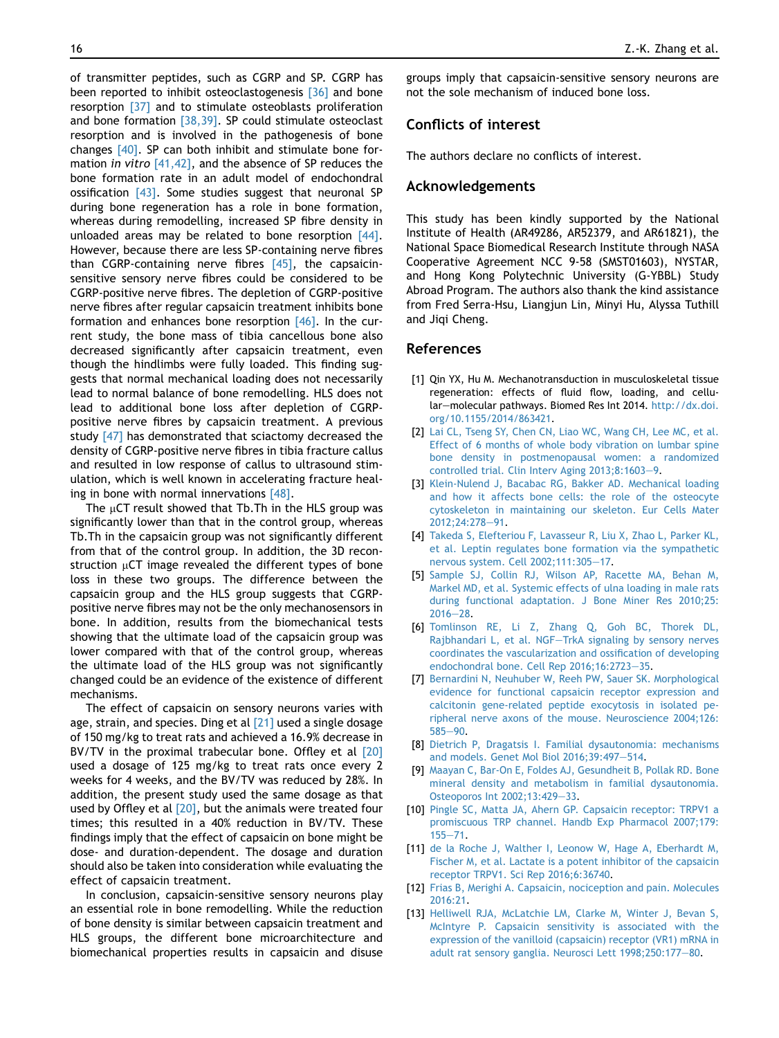<span id="page-4-0"></span>of transmitter peptides, such as CGRP and SP. CGRP has been reported to inhibit osteoclastogenesis [\[36\]](#page-5-0) and bone resorption [\[37\]](#page-5-0) and to stimulate osteoblasts proliferation and bone formation [\[38,39\]](#page-5-0). SP could stimulate osteoclast resorption and is involved in the pathogenesis of bone changes [\[40\]](#page-5-0). SP can both inhibit and stimulate bone for-mation in vitro [\[41,42\]](#page-5-0), and the absence of SP reduces the bone formation rate in an adult model of endochondral ossification  $[43]$ . Some studies suggest that neuronal SP during bone regeneration has a role in bone formation, whereas during remodelling, increased SP fibre density in unloaded areas may be related to bone resorption  $[44]$ . However, because there are less SP-containing nerve fibres than CGRP-containing nerve fibres  $[45]$ , the capsaicinsensitive sensory nerve fibres could be considered to be CGRP-positive nerve fibres. The depletion of CGRP-positive nerve fibres after regular capsaicin treatment inhibits bone formation and enhances bone resorption [\[46\]](#page-5-0). In the current study, the bone mass of tibia cancellous bone also decreased significantly after capsaicin treatment, even though the hindlimbs were fully loaded. This finding suggests that normal mechanical loading does not necessarily lead to normal balance of bone remodelling. HLS does not lead to additional bone loss after depletion of CGRPpositive nerve fibres by capsaicin treatment. A previous study [\[47\]](#page-5-0) has demonstrated that sciactomy decreased the density of CGRP-positive nerve fibres in tibia fracture callus and resulted in low response of callus to ultrasound stimulation, which is well known in accelerating fracture healing in bone with normal innervations [\[48\]](#page-5-0).

The  $\mu$ CT result showed that Tb.Th in the HLS group was significantly lower than that in the control group, whereas Tb.Th in the capsaicin group was not significantly different from that of the control group. In addition, the 3D reconstruction  $\mu$ CT image revealed the different types of bone loss in these two groups. The difference between the capsaicin group and the HLS group suggests that CGRPpositive nerve fibres may not be the only mechanosensors in bone. In addition, results from the biomechanical tests showing that the ultimate load of the capsaicin group was lower compared with that of the control group, whereas the ultimate load of the HLS group was not significantly changed could be an evidence of the existence of different mechanisms.

The effect of capsaicin on sensory neurons varies with age, strain, and species. Ding et al  $[21]$  used a single dosage of 150 mg/kg to treat rats and achieved a 16.9% decrease in BV/TV in the proximal trabecular bone. Offley et al [\[20\]](#page-5-0) used a dosage of 125 mg/kg to treat rats once every 2 weeks for 4 weeks, and the BV/TV was reduced by 28%. In addition, the present study used the same dosage as that used by Offley et al  $[20]$ , but the animals were treated four times; this resulted in a 40% reduction in BV/TV. These findings imply that the effect of capsaicin on bone might be dose- and duration-dependent. The dosage and duration should also be taken into consideration while evaluating the effect of capsaicin treatment.

In conclusion, capsaicin-sensitive sensory neurons play an essential role in bone remodelling. While the reduction of bone density is similar between capsaicin treatment and HLS groups, the different bone microarchitecture and biomechanical properties results in capsaicin and disuse

groups imply that capsaicin-sensitive sensory neurons are not the sole mechanism of induced bone loss.

# Conflicts of interest

The authors declare no conflicts of interest.

#### Acknowledgements

This study has been kindly supported by the National Institute of Health (AR49286, AR52379, and AR61821), the National Space Biomedical Research Institute through NASA Cooperative Agreement NCC 9-58 (SMST01603), NYSTAR, and Hong Kong Polytechnic University (G-YBBL) Study Abroad Program. The authors also thank the kind assistance from Fred Serra-Hsu, Liangjun Lin, Minyi Hu, Alyssa Tuthill and Jiqi Cheng.

#### References

- [1] Qin YX, Hu M. Mechanotransduction in musculoskeletal tissue regeneration: effects of fluid flow, loading, and cellular-molecular pathways. Biomed Res Int 2014. [http://dx.doi.](http://dx.doi.org/10.1155/2014/863421) [org/10.1155/2014/863421.](http://dx.doi.org/10.1155/2014/863421)
- [2] [Lai CL, Tseng SY, Chen CN, Liao WC, Wang CH, Lee MC, et al.](http://refhub.elsevier.com/S2214-031X(16)30301-1/sref2) [Effect of 6 months of whole body vibration on lumbar spine](http://refhub.elsevier.com/S2214-031X(16)30301-1/sref2) [bone density in postmenopausal women: a randomized](http://refhub.elsevier.com/S2214-031X(16)30301-1/sref2)  $controlled trial. Clin Interview Aging 2013;8:1603-9.$  $controlled trial. Clin Interview Aging 2013;8:1603-9.$
- [3] [Klein-Nulend J, Bacabac RG, Bakker AD. Mechanical loading](http://refhub.elsevier.com/S2214-031X(16)30301-1/sref3) [and how it affects bone cells: the role of the osteocyte](http://refhub.elsevier.com/S2214-031X(16)30301-1/sref3) [cytoskeleton in maintaining our skeleton. Eur Cells Mater](http://refhub.elsevier.com/S2214-031X(16)30301-1/sref3) [2012;24:278](http://refhub.elsevier.com/S2214-031X(16)30301-1/sref3)-[91.](http://refhub.elsevier.com/S2214-031X(16)30301-1/sref3)
- [4] [Takeda S, Elefteriou F, Lavasseur R, Liu X, Zhao L, Parker KL,](http://refhub.elsevier.com/S2214-031X(16)30301-1/sref4) [et al. Leptin regulates bone formation via the sympathetic](http://refhub.elsevier.com/S2214-031X(16)30301-1/sref4) [nervous system. Cell 2002;111:305](http://refhub.elsevier.com/S2214-031X(16)30301-1/sref4)-[17](http://refhub.elsevier.com/S2214-031X(16)30301-1/sref4).
- [5] [Sample SJ, Collin RJ, Wilson AP, Racette MA, Behan M,](http://refhub.elsevier.com/S2214-031X(16)30301-1/sref5) [Markel MD, et al. Systemic effects of ulna loading in male rats](http://refhub.elsevier.com/S2214-031X(16)30301-1/sref5) [during functional adaptation. J Bone Miner Res 2010;25:](http://refhub.elsevier.com/S2214-031X(16)30301-1/sref5)  $2016 - 28.$  $2016 - 28.$  $2016 - 28.$  $2016 - 28.$
- [6] [Tomlinson RE, Li Z, Zhang Q, Goh BC, Thorek DL,](http://refhub.elsevier.com/S2214-031X(16)30301-1/sref6) [Rajbhandari L, et al. NGF](http://refhub.elsevier.com/S2214-031X(16)30301-1/sref6)-[TrkA signaling by sensory nerves](http://refhub.elsevier.com/S2214-031X(16)30301-1/sref6) [coordinates the vascularization and ossification of developing](http://refhub.elsevier.com/S2214-031X(16)30301-1/sref6) [endochondral bone. Cell Rep 2016;16:2723](http://refhub.elsevier.com/S2214-031X(16)30301-1/sref6)-[35](http://refhub.elsevier.com/S2214-031X(16)30301-1/sref6).
- [7] [Bernardini N, Neuhuber W, Reeh PW, Sauer SK. Morphological](http://refhub.elsevier.com/S2214-031X(16)30301-1/sref7) [evidence for functional capsaicin receptor expression and](http://refhub.elsevier.com/S2214-031X(16)30301-1/sref7) [calcitonin gene-related peptide exocytosis in isolated pe](http://refhub.elsevier.com/S2214-031X(16)30301-1/sref7)[ripheral nerve axons of the mouse. Neuroscience 2004;126:](http://refhub.elsevier.com/S2214-031X(16)30301-1/sref7)  $585 - 90.$  $585 - 90.$  $585 - 90.$  $585 - 90.$
- [8] [Dietrich P, Dragatsis I. Familial dysautonomia: mechanisms](http://refhub.elsevier.com/S2214-031X(16)30301-1/sref8) [and models. Genet Mol Biol 2016;39:497](http://refhub.elsevier.com/S2214-031X(16)30301-1/sref8)-[514](http://refhub.elsevier.com/S2214-031X(16)30301-1/sref8).
- [9] [Maayan C, Bar-On E, Foldes AJ, Gesundheit B, Pollak RD. Bone](http://refhub.elsevier.com/S2214-031X(16)30301-1/sref9) [mineral density and metabolism in familial dysautonomia.](http://refhub.elsevier.com/S2214-031X(16)30301-1/sref9) [Osteoporos Int 2002;13:429](http://refhub.elsevier.com/S2214-031X(16)30301-1/sref9)-[33.](http://refhub.elsevier.com/S2214-031X(16)30301-1/sref9)
- [10] [Pingle SC, Matta JA, Ahern GP. Capsaicin receptor: TRPV1 a](http://refhub.elsevier.com/S2214-031X(16)30301-1/sref10) [promiscuous TRP channel. Handb Exp Pharmacol 2007;179:](http://refhub.elsevier.com/S2214-031X(16)30301-1/sref10)  $155 - 71.$  $155 - 71.$  $155 - 71.$
- [11] [de la Roche J, Walther I, Leonow W, Hage A, Eberhardt M,](http://refhub.elsevier.com/S2214-031X(16)30301-1/sref11) [Fischer M, et al. Lactate is a potent inhibitor of the capsaicin](http://refhub.elsevier.com/S2214-031X(16)30301-1/sref11) [receptor TRPV1. Sci Rep 2016;6:36740](http://refhub.elsevier.com/S2214-031X(16)30301-1/sref11).
- [12] [Frias B, Merighi A. Capsaicin, nociception and pain. Molecules](http://refhub.elsevier.com/S2214-031X(16)30301-1/sref12) [2016:21.](http://refhub.elsevier.com/S2214-031X(16)30301-1/sref12)
- [13] [Helliwell RJA, McLatchie LM, Clarke M, Winter J, Bevan S,](http://refhub.elsevier.com/S2214-031X(16)30301-1/sref13) [McIntyre P. Capsaicin sensitivity is associated with the](http://refhub.elsevier.com/S2214-031X(16)30301-1/sref13) [expression of the vanilloid \(capsaicin\) receptor \(VR1\) mRNA in](http://refhub.elsevier.com/S2214-031X(16)30301-1/sref13) [adult rat sensory ganglia. Neurosci Lett 1998;250:177](http://refhub.elsevier.com/S2214-031X(16)30301-1/sref13)-[80](http://refhub.elsevier.com/S2214-031X(16)30301-1/sref13).